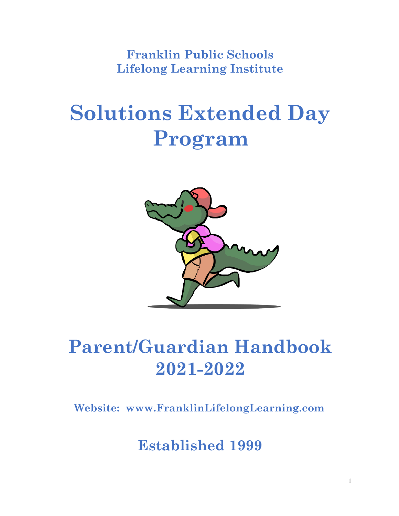**Franklin Public Schools Lifelong Learning Institute**

# **Solutions Extended Day Program**



## **Parent/Guardian Handbook 2021-2022**

**Website: [www.FranklinLifelongLearning.com](http://www.franklinlifelonglearning.com/)**

**Established 1999**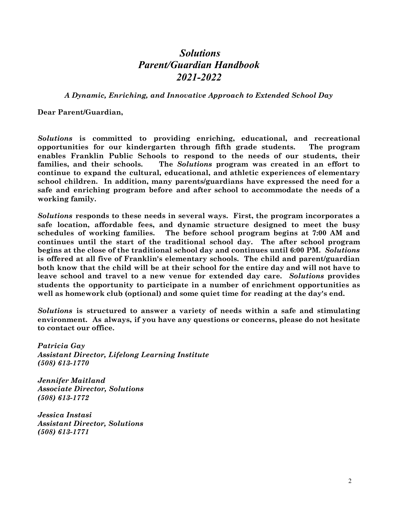#### *Solutions Parent/Guardian Handbook 2021-2022*

*A Dynamic, Enriching, and Innovative Approach to Extended School Day*

**Dear Parent/Guardian,**

*Solutions* **is committed to providing enriching, educational, and recreational opportunities for our kindergarten through fifth grade students. The program enables Franklin Public Schools to respond to the needs of our students, their families, and their schools. The** *Solutions* **program was created in an effort to continue to expand the cultural, educational, and athletic experiences of elementary school children. In addition, many parents/guardians have expressed the need for a safe and enriching program before and after school to accommodate the needs of a working family.**

*Solutions* **responds to these needs in several ways. First, the program incorporates a safe location, affordable fees, and dynamic structure designed to meet the busy schedules of working families. The before school program begins at 7:00 AM and continues until the start of the traditional school day. The after school program begins at the close of the traditional school day and continues until 6:00 PM.** *Solutions* **is offered at all five of Franklin's elementary schools. The child and parent/guardian both know that the child will be at their school for the entire day and will not have to leave school and travel to a new venue for extended day care.** *Solutions* **provides students the opportunity to participate in a number of enrichment opportunities as well as homework club (optional) and some quiet time for reading at the day's end.**

*Solutions* **is structured to answer a variety of needs within a safe and stimulating environment. As always, if you have any questions or concerns, please do not hesitate to contact our office.**

*Patricia Gay Assistant Director, Lifelong Learning Institute (508) 613-1770*

*Jennifer Maitland Associate Director, Solutions (508) 613-1772*

*Jessica Instasi Assistant Director, Solutions (508) 613-1771*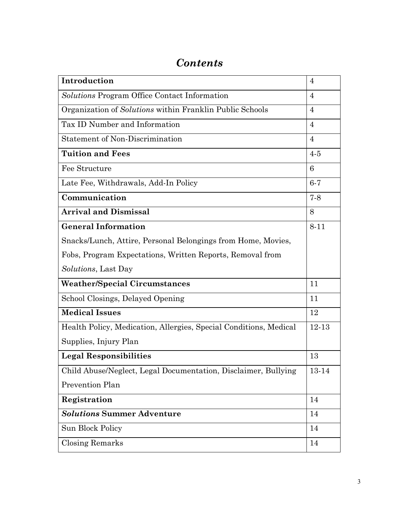### *Contents*

| Introduction                                                      | $\overline{4}$ |
|-------------------------------------------------------------------|----------------|
| Solutions Program Office Contact Information                      | $\overline{4}$ |
| Organization of Solutions within Franklin Public Schools          | $\overline{4}$ |
| Tax ID Number and Information                                     | $\overline{4}$ |
| <b>Statement of Non-Discrimination</b>                            | $\overline{4}$ |
| <b>Tuition and Fees</b>                                           | $4-5$          |
| Fee Structure                                                     | 6              |
| Late Fee, Withdrawals, Add-In Policy                              | $6-7$          |
| Communication                                                     | $7 - 8$        |
| <b>Arrival and Dismissal</b>                                      | 8              |
| <b>General Information</b>                                        | $8 - 11$       |
| Snacks/Lunch, Attire, Personal Belongings from Home, Movies,      |                |
| Fobs, Program Expectations, Written Reports, Removal from         |                |
| <i>Solutions</i> , Last Day                                       |                |
| <b>Weather/Special Circumstances</b>                              | 11             |
| School Closings, Delayed Opening                                  | 11             |
| <b>Medical Issues</b>                                             | 12             |
| Health Policy, Medication, Allergies, Special Conditions, Medical | 12-13          |
| Supplies, Injury Plan                                             |                |
| <b>Legal Responsibilities</b>                                     | 13             |
| Child Abuse/Neglect, Legal Documentation, Disclaimer, Bullying    | 13-14          |
| Prevention Plan                                                   |                |
| Registration                                                      | 14             |
| <b>Solutions Summer Adventure</b>                                 | 14             |
| Sun Block Policy                                                  | 14             |
| <b>Closing Remarks</b>                                            | 14             |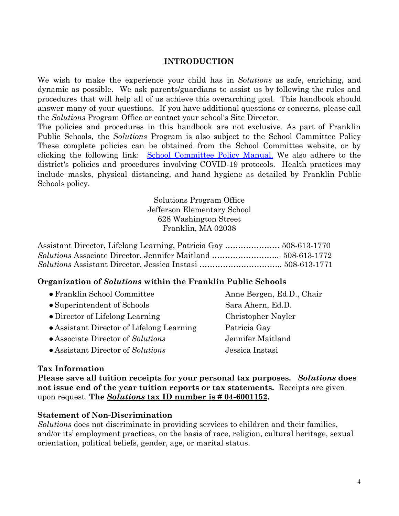#### **INTRODUCTION**

We wish to make the experience your child has in *Solutions* as safe, enriching, and dynamic as possible. We ask parents/guardians to assist us by following the rules and procedures that will help all of us achieve this overarching goal. This handbook should answer many of your questions. If you have additional questions or concerns, please call the *Solutions* Program Office or contact your school's Site Director.

The policies and procedures in this handbook are not exclusive. As part of Franklin Public Schools, the *Solutions* Program is also subject to the School Committee Policy These complete policies can be obtained from the School Committee website, or by clicking the following link: School [Committee](https://www.franklinps.net/district/school-committee-policy-manual/pages/section-e-support-services) Policy Manual. We also adhere to the district's policies and procedures involving COVID-19 protocols. Health practices may include masks, physical distancing, and hand hygiene as detailed by Franklin Public Schools policy.

> Solutions Program Office Jefferson Elementary School 628 Washington Street Franklin, MA 02038

| Assistant Director, Lifelong Learning, Patricia Gay  508-613-1770 |  |
|-------------------------------------------------------------------|--|
|                                                                   |  |
|                                                                   |  |

#### **Organization of** *Solutions* **within the Franklin Public Schools**

| • Franklin School Committee               | Anne Bergen, I  |
|-------------------------------------------|-----------------|
| • Superintendent of Schools               | Sara Ahern, Eq  |
| • Director of Lifelong Learning           | Christopher Na  |
| • Assistant Director of Lifelong Learning | Patricia Gay    |
| • Associate Director of Solutions         | Jennifer Maitla |
| $\bullet$ Assistant Director of Solutions | Jessica Instasi |

#### **Tax Information**

**Please save all tuition receipts for your personal tax purposes.** *Solutions* **does not issue end of the year tuition reports or tax statements.** Receipts are given upon request. **The** *Solutions* **tax ID number is # 04-6001152.**

#### **Statement of Non-Discrimination**

*Solutions* does not discriminate in providing services to children and their families, and/or its' employment practices, on the basis of race, religion, cultural heritage, sexual orientation, political beliefs, gender, age, or marital status.

Anne Bergen, Ed.D., Chair Sara Ahern, Ed.D. Christopher Nayler Patricia Gay ● Associate Director of *Solutions* Jennifer Maitland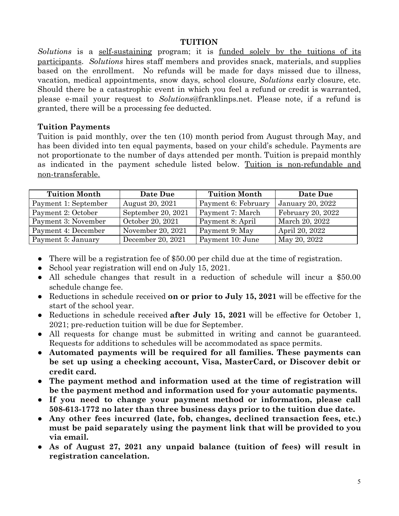#### **TUITION**

*Solutions* is a self-sustaining program; it is funded solely by the tuitions of its participants. *Solutions* hires staff members and provides snack, materials, and supplies based on the enrollment. No refunds will be made for days missed due to illness, vacation, medical appointments, snow days, school closure, *Solutions* early closure, etc. Should there be a catastrophic event in which you feel a refund or credit is warranted, please e-mail your request to *Solutions*@franklinps.net. Please note, if a refund is granted, there will be a processing fee deducted.

#### **Tuition Payments**

Tuition is paid monthly, over the ten (10) month period from August through May, and has been divided into ten equal payments, based on your child's schedule. Payments are not proportionate to the number of days attended per month. Tuition is prepaid monthly as indicated in the payment schedule listed below. Tuition is non-refundable and non-transferable.

| <b>Tuition Month</b> | Date Due                      | <b>Tuition Month</b> | Date Due          |
|----------------------|-------------------------------|----------------------|-------------------|
| Payment 1: September | August 20, 2021               | Payment 6: February  | January 20, 2022  |
| Payment 2: October   | September 20, 2021            | Payment 7: March     | February 20, 2022 |
| Payment 3: November  | October 20, $20\overline{21}$ | Payment 8: April     | March 20, 2022    |
| Payment 4: December  | November 20, 2021             | Payment 9: May       | April 20, 2022    |
| Payment 5: January   | December 20, 2021             | Payment 10: June     | May 20, 2022      |

- There will be a registration fee of \$50.00 per child due at the time of registration.
- School year registration will end on July 15, 2021.
- All schedule changes that result in a reduction of schedule will incur a \$50.00 schedule change fee.
- Reductions in schedule received **on or prior to July 15, 2021** will be effective for the start of the school year.
- Reductions in schedule received **after July 15, 2021** will be effective for October 1, 2021; pre-reduction tuition will be due for September.
- All requests for change must be submitted in writing and cannot be guaranteed. Requests for additions to schedules will be accommodated as space permits.
- **Automated payments will be required for all families. These payments can be set up using a checking account, Visa, MasterCard, or Discover debit or credit card.**
- **The payment method and information used at the time of registration will be the payment method and information used for your automatic payments.**
- **If you need to change your payment method or information, please call 508-613-1772 no later than three business days prior to the tuition due date.**
- **Any other fees incurred (late, fob, changes, declined transaction fees, etc.) must be paid separately using the payment link that will be provided to you via email.**
- **As of August 27, 2021 any unpaid balance (tuition of fees) will result in registration cancelation.**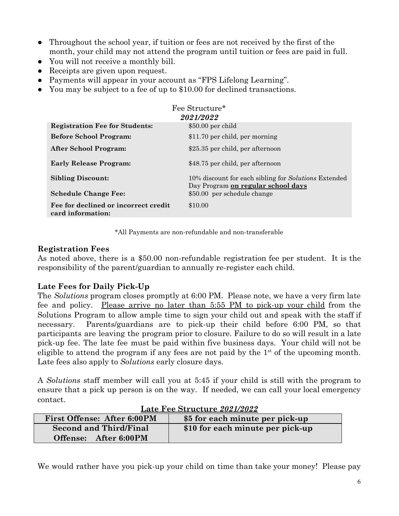- Throughout the school year, if tuition or fees are not received by the first of the month, your child may not attend the program until tuition or fees are paid in full.
- You will not receive a monthly bill.
- Receipts are given upon request.
- Payments will appear in your account as "FPS Lifelong Learning".
- You may be subject to a fee of up to \$10.00 for declined transactions.

|                                                           | Fee Structure*                                                                             |
|-----------------------------------------------------------|--------------------------------------------------------------------------------------------|
|                                                           | 2021/2022                                                                                  |
| <b>Registration Fee for Students:</b>                     | $$50.00$ per child                                                                         |
| <b>Before School Program:</b>                             | \$11.70 per child, per morning                                                             |
| After School Program:                                     | \$25.35 per child, per afternoon                                                           |
| <b>Early Release Program:</b>                             | \$48.75 per child, per afternoon                                                           |
| <b>Sibling Discount:</b>                                  | 10% discount for each sibling for Solutions Extended<br>Day Program on regular school days |
| <b>Schedule Change Fee:</b>                               | \$50.00 per schedule change                                                                |
| Fee for declined or incorrect credit<br>card information: | \$10.00                                                                                    |

\*All Payments are non-refundable and non-transferable

#### **Registration Fees**

As noted above, there is a \$50.00 non-refundable registration fee per student. It is the responsibility of the parent/guardian to annually re-register each child.

#### **Late Fees for Daily Pick-Up**

The *Solutions* program closes promptly at 6:00 PM. Please note, we have a very firm late fee and policy. Please arrive no later than 5:55 PM to pick-up your child from the Solutions Program to allow ample time to sign your child out and speak with the staff if necessary. Parents/guardians are to pick-up their child before 6:00 PM, so that participants are leaving the program prior to closure. Failure to do so will result in a late pick-up fee. The late fee must be paid within five business days. Your child will not be eligible to attend the program if any fees are not paid by the  $1<sup>st</sup>$  of the upcoming month. Late fees also apply to *Solutions* early closure days.

A *Solutions* staff member will call you at 5:45 if your child is still with the program to ensure that a pick up person is on the way. If needed, we can call your local emergency contact.

|                                    | -------------------------------- |
|------------------------------------|----------------------------------|
| <b>First Offense: After 6:00PM</b> | \$5 for each minute per pick-up  |
| <b>Second and Third/Final</b>      | \$10 for each minute per pick-up |
| Offense: After 6:00PM              |                                  |

|--|

We would rather have you pick-up your child on time than take your money! Please pay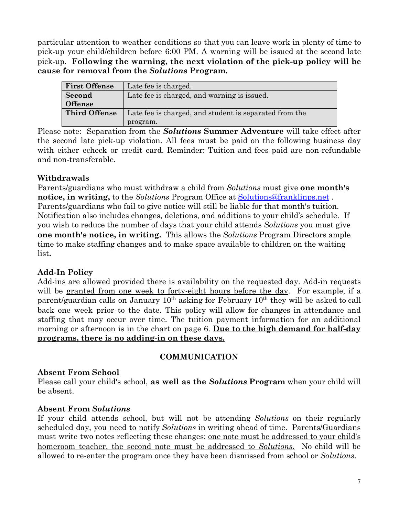particular attention to weather conditions so that you can leave work in plenty of time to pick-up your child/children before 6:00 PM. A warning will be issued at the second late pick-up. **Following the warning, the next violation of the pick-up policy will be cause for removal from the** *Solutions* **Program.**

| <b>First Offense</b> | Late fee is charged.                                   |
|----------------------|--------------------------------------------------------|
| Second               | Late fee is charged, and warning is issued.            |
| <b>Offense</b>       |                                                        |
| <b>Third Offense</b> | Late fee is charged, and student is separated from the |
|                      | program.                                               |

Please note: Separation from the *Solutions* **Summer Adventure** will take effect after the second late pick-up violation. All fees must be paid on the following business day with either echeck or credit card. Reminder: Tuition and fees paid are non-refundable and non-transferable.

#### **Withdrawals**

Parents/guardians who must withdraw a child from *Solutions* must give **one month's notice, in writing,** to the *Solutions* Program Office at [Solutions@franklinps.net](mailto:Solutions@franklinps.net) . Parents/guardians who fail to give notice will still be liable for that month's tuition. Notification also includes changes, deletions, and additions to your child's schedule. If you wish to reduce the number of days that your child attends *Solutions* you must give **one month's notice, in writing.** This allows the *Solutions* Program Directors ample time to make staffing changes and to make space available to children on the waiting list**.**

#### **Add-In Policy**

Add-ins are allowed provided there is availability on the requested day. Add-in requests will be granted from one week to forty-eight hours before the day. For example, if a parent/guardian calls on January  $10<sup>th</sup>$  asking for February  $10<sup>th</sup>$  they will be asked to call back one week prior to the date. This policy will allow for changes in attendance and staffing that may occur over time. The tuition payment information for an additional morning or afternoon is in the chart on page 6. **Due to the high demand for half-day programs, there is no adding-in on these days.**

#### **COMMUNICATION**

#### **Absent From School**

Please call your child's school, **as well as the** *Solutions* **Program** when your child will be absent.

#### **Absent From** *Solutions*

If your child attends school, but will not be attending *Solutions* on their regularly scheduled day, you need to notify *Solutions* in writing ahead of time. Parents/Guardians must write two notes reflecting these changes; <u>one note must be addressed to your child's</u> homeroom teacher, the second note must be addressed to *Solutions*. No child will be allowed to re-enter the program once they have been dismissed from school or *Solutions*.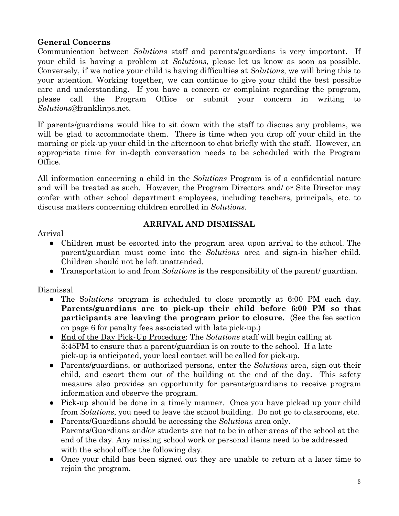#### **General Concerns**

Communication between *Solutions* staff and parents/guardians is very important. If your child is having a problem at *Solutions*, please let us know as soon as possible. Conversely, if we notice your child is having difficulties at *Solutions,* we will bring this to your attention. Working together, we can continue to give your child the best possible care and understanding. If you have a concern or complaint regarding the program, please call the Program Office or submit your concern in writing to *Solutions*@franklinps.net.

If parents/guardians would like to sit down with the staff to discuss any problems, we will be glad to accommodate them. There is time when you drop off your child in the morning or pick-up your child in the afternoon to chat briefly with the staff. However, an appropriate time for in-depth conversation needs to be scheduled with the Program Office.

All information concerning a child in the *Solutions* Program is of a confidential nature and will be treated as such. However, the Program Directors and/ or Site Director may confer with other school department employees, including teachers, principals, etc. to discuss matters concerning children enrolled in *Solutions*.

#### Arrival

#### **ARRIVAL AND DISMISSAL**

- Children must be escorted into the program area upon arrival to the school. The parent/guardian must come into the *Solutions* area and sign-in his/her child. Children should not be left unattended.
- Transportation to and from *Solutions* is the responsibility of the parent/ guardian.

Dismissal

- The So*lutions* program is scheduled to close promptly at 6:00 PM each day. **Parents/guardians are to pick-up their child before 6:00 PM so that participants are leaving the program prior to closure.** (See the fee section on page 6 for penalty fees associated with late pick-up.)
- End of the Day Pick-Up Procedure: The *Solutions* staff will begin calling at 5:45PM to ensure that a parent/guardian is on route to the school. If a late pick-up is anticipated, your local contact will be called for pick-up.
- Parents/guardians, or authorized persons, enter the *Solutions* area, sign-out their child, and escort them out of the building at the end of the day. This safety measure also provides an opportunity for parents/guardians to receive program information and observe the program.
- Pick-up should be done in a timely manner. Once you have picked up your child from *Solutions*, you need to leave the school building. Do not go to classrooms, etc.
- Parents/Guardians should be accessing the *Solutions* area only. Parents/Guardians and/or students are not to be in other areas of the school at the end of the day. Any missing school work or personal items need to be addressed with the school office the following day.
- Once your child has been signed out they are unable to return at a later time to rejoin the program.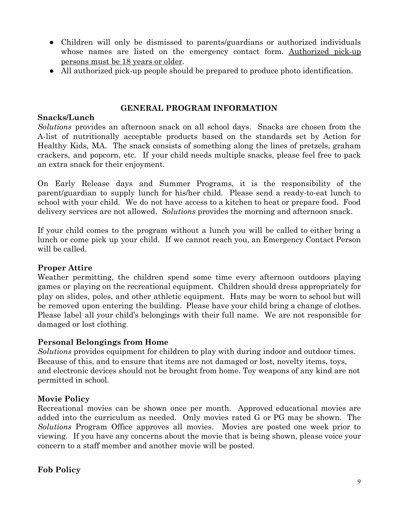- Children will only be dismissed to parents/guardians or authorized individuals whose names are listed on the emergency contact form. Authorized pick-up persons must be 18 years or older.
- All authorized pick-up people should be prepared to produce photo identification.

#### **GENERAL PROGRAM INFORMATION**

#### **Snacks/Lunch**

*Solutions* provides an afternoon snack on all school days. Snacks are chosen from the A-list of nutritionally acceptable products based on the standards set by Action for Healthy Kids, MA. The snack consists of something along the lines of pretzels, graham crackers, and popcorn, etc. If your child needs multiple snacks, please feel free to pack an extra snack for their enjoyment.

On Early Release days and Summer Programs, it is the responsibility of the parent/guardian to supply lunch for his/her child. Please send a ready-to-eat lunch to school with your child. We do not have access to a kitchen to heat or prepare food. Food delivery services are not allowed. *Solutions* provides the morning and afternoon snack.

If your child comes to the program without a lunch you will be called to either bring a lunch or come pick up your child. If we cannot reach you, an Emergency Contact Person will be called.

#### **Proper Attire**

Weather permitting, the children spend some time every afternoon outdoors playing games or playing on the recreational equipment. Children should dress appropriately for play on slides, poles, and other athletic equipment. Hats may be worn to school but will be removed upon entering the building. Please have your child bring a change of clothes. Please label all your child's belongings with their full name. We are not responsible for damaged or lost clothing.

#### **Personal Belongings from Home**

*Solutions* provides equipment for children to play with during indoor and outdoor times. Because of this, and to ensure that items are not damaged or lost, novelty items, toys, and electronic devices should not be brought from home. Toy weapons of any kind are not permitted in school.

#### **Movie Policy**

Recreational movies can be shown once per month. Approved educational movies are added into the curriculum as needed. Only movies rated G or PG may be shown. The *Solutions* Program Office approves all movies. Movies are posted one week prior to viewing. If you have any concerns about the movie that is being shown, please voice your concern to a staff member and another movie will be posted.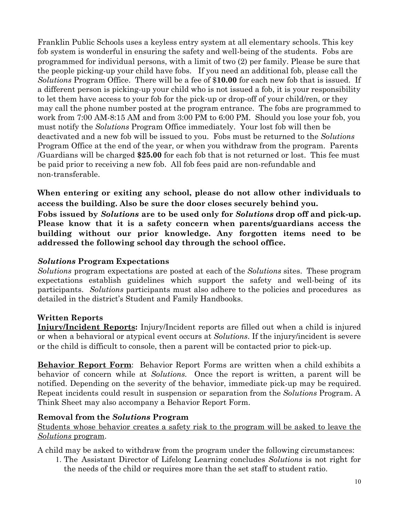Franklin Public Schools uses a keyless entry system at all elementary schools. This key fob system is wonderful in ensuring the safety and well-being of the students. Fobs are programmed for individual persons, with a limit of two (2) per family. Please be sure that the people picking-up your child have fobs. If you need an additional fob, please call the *Solutions* Program Office. There will be a fee of \$**10.00** for each new fob that is issued. If a different person is picking-up your child who is not issued a fob, it is your responsibility to let them have access to your fob for the pick-up or drop-off of your child/ren, or they may call the phone number posted at the program entrance. The fobs are programmed to work from 7:00 AM-8:15 AM and from 3:00 PM to 6:00 PM. Should you lose your fob, you must notify the *Solutions* Program Office immediately. Your lost fob will then be deactivated and a new fob will be issued to you. Fobs must be returned to the *Solutions* Program Office at the end of the year, or when you withdraw from the program. Parents /Guardians will be charged **\$25.00** for each fob that is not returned or lost. This fee must be paid prior to receiving a new fob. All fob fees paid are non-refundable and non-transferable.

**When entering or exiting any school, please do not allow other individuals to access the building. Also be sure the door closes securely behind you.**

**Fobs issued by** *Solutions* **are to be used only for** *Solutions* **drop off and pick-up. Please know that it is a safety concern when parents/guardians access the building without our prior knowledge. Any forgotten items need to be addressed the following school day through the school office.**

#### *Solutions* **Program Expectations**

*Solutions* program expectations are posted at each of the *Solutions* sites. These program expectations establish guidelines which support the safety and well-being of its participants. *Solutions* participants must also adhere to the policies and procedures as detailed in the district's Student and Family Handbooks.

#### **Written Reports**

**Injury/Incident Reports:** Injury/Incident reports are filled out when a child is injured or when a behavioral or atypical event occurs at *Solutions*. If the injury/incident is severe or the child is difficult to console, then a parent will be contacted prior to pick-up.

**Behavior Report Form**: Behavior Report Forms are written when a child exhibits a behavior of concern while at *Solutions.* Once the report is written, a parent will be notified. Depending on the severity of the behavior, immediate pick-up may be required. Repeat incidents could result in suspension or separation from the *Solutions* Program. A Think Sheet may also accompany a Behavior Report Form.

#### **Removal from the** *Solutions* **Program**

Students whose behavior creates a safety risk to the program will be asked to leave the *Solutions* program.

A child may be asked to withdraw from the program under the following circumstances:

1. The Assistant Director of Lifelong Learning concludes *Solutions* is not right for the needs of the child or requires more than the set staff to student ratio.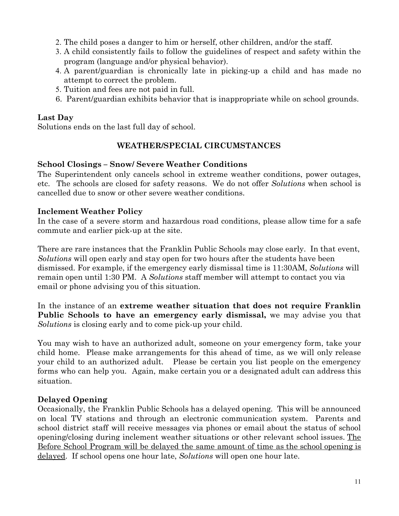- 2. The child poses a danger to him or herself, other children, and/or the staff.
- 3. A child consistently fails to follow the guidelines of respect and safety within the program (language and/or physical behavior).
- 4. A parent/guardian is chronically late in picking-up a child and has made no attempt to correct the problem.
- 5. Tuition and fees are not paid in full.
- 6. Parent/guardian exhibits behavior that is inappropriate while on school grounds.

#### **Last Day**

Solutions ends on the last full day of school.

#### **WEATHER/SPECIAL CIRCUMSTANCES**

#### **School Closings – Snow/ Severe Weather Conditions**

The Superintendent only cancels school in extreme weather conditions, power outages, etc. The schools are closed for safety reasons. We do not offer *Solutions* when school is cancelled due to snow or other severe weather conditions.

#### **Inclement Weather Policy**

In the case of a severe storm and hazardous road conditions, please allow time for a safe commute and earlier pick-up at the site.

There are rare instances that the Franklin Public Schools may close early. In that event, *Solutions* will open early and stay open for two hours after the students have been dismissed. For example, if the emergency early dismissal time is 11:30AM, *Solutions* will remain open until 1:30 PM. A *Solutions* staff member will attempt to contact you via email or phone advising you of this situation.

In the instance of an **extreme weather situation that does not require Franklin Public Schools to have an emergency early dismissal,** we may advise you that *Solutions* is closing early and to come pick-up your child.

You may wish to have an authorized adult, someone on your emergency form, take your child home. Please make arrangements for this ahead of time, as we will only release your child to an authorized adult. Please be certain you list people on the emergency forms who can help you. Again, make certain you or a designated adult can address this situation.

#### **Delayed Opening**

Occasionally, the Franklin Public Schools has a delayed opening. This will be announced on local TV stations and through an electronic communication system. Parents and school district staff will receive messages via phones or email about the status of school opening/closing during inclement weather situations or other relevant school issues. The Before School Program will be delayed the same amount of time as the school opening is delayed. If school opens one hour late, *Solutions* will open one hour late.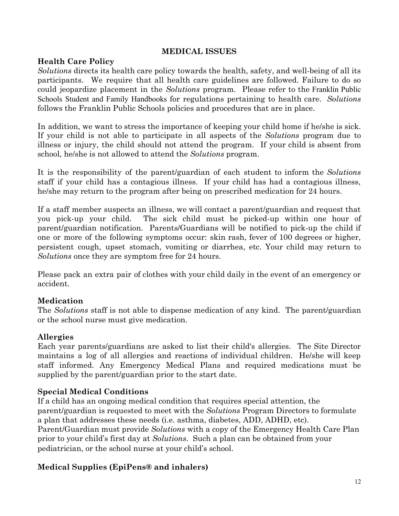#### **MEDICAL ISSUES**

#### **Health Care Policy**

*Solutions* directs its health care policy towards the health, safety, and well-being of all its participants. We require that all health care guidelines are followed. Failure to do so could jeopardize placement in the *Solutions* program. Please refer to the Franklin Public Schools Student and Family Handbooks for regulations pertaining to health care. *Solutions* follows the Franklin Public Schools policies and procedures that are in place.

In addition, we want to stress the importance of keeping your child home if he/she is sick. If your child is not able to participate in all aspects of the *Solutions* program due to illness or injury, the child should not attend the program. If your child is absent from school, he/she is not allowed to attend the *Solutions* program.

It is the responsibility of the parent/guardian of each student to inform the *Solutions* staff if your child has a contagious illness. If your child has had a contagious illness, he/she may return to the program after being on prescribed medication for 24 hours.

If a staff member suspects an illness, we will contact a parent/guardian and request that you pick-up your child. The sick child must be picked-up within one hour of parent/guardian notification. Parents/Guardians will be notified to pick-up the child if one or more of the following symptoms occur: skin rash, fever of 100 degrees or higher, persistent cough, upset stomach, vomiting or diarrhea, etc. Your child may return to *Solutions* once they are symptom free for 24 hours.

Please pack an extra pair of clothes with your child daily in the event of an emergency or accident.

#### **Medication**

The *Solutions* staff is not able to dispense medication of any kind. The parent/guardian or the school nurse must give medication.

#### **Allergies**

Each year parents/guardians are asked to list their child's allergies. The Site Director maintains a log of all allergies and reactions of individual children. He/she will keep staff informed. Any Emergency Medical Plans and required medications must be supplied by the parent/guardian prior to the start date.

#### **Special Medical Conditions**

If a child has an ongoing medical condition that requires special attention, the parent/guardian is requested to meet with the *Solutions* Program Directors to formulate a plan that addresses these needs (i.e. asthma, diabetes, ADD, ADHD, etc). Parent/Guardian must provide *Solutions* with a copy of the Emergency Health Care Plan prior to your child's first day at *Solutions*. Such a plan can be obtained from your pediatrician, or the school nurse at your child's school.

#### **Medical Supplies (EpiPens® and inhalers)**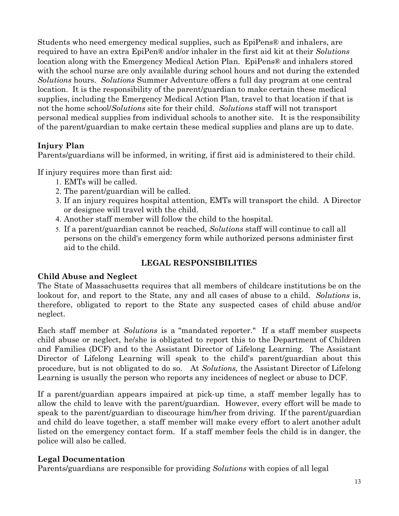Students who need emergency medical supplies, such as EpiPens® and inhalers, are required to have an extra EpiPen® and/or inhaler in the first aid kit at their *Solutions* location along with the Emergency Medical Action Plan*.* EpiPens® and inhalers stored with the school nurse are only available during school hours and not during the extended *Solutions* hours. *Solutions* Summer Adventure offers a full day program at one central location. It is the responsibility of the parent/guardian to make certain these medical supplies, including the Emergency Medical Action Plan, travel to that location if that is not the home school/*Solutions* site for their child. *Solutions* staff will not transport personal medical supplies from individual schools to another site. It is the responsibility of the parent/guardian to make certain these medical supplies and plans are up to date.

#### **Injury Plan**

Parents/guardians will be informed, in writing, if first aid is administered to their child.

If injury requires more than first aid:

- 1. EMTs will be called.
- 2. The parent/guardian will be called.
- 3. If an injury requires hospital attention, EMTs will transport the child. A Director or designee will travel with the child.
- 4. Another staff member will follow the child to the hospital.
- 5. If a parent/guardian cannot be reached, *Solutions* staff will continue to call all persons on the child's emergency form while authorized persons administer first aid to the child.

#### **LEGAL RESPONSIBILITIES**

#### **Child Abuse and Neglect**

The State of Massachusetts requires that all members of childcare institutions be on the lookout for, and report to the State, any and all cases of abuse to a child. *Solutions* is, therefore, obligated to report to the State any suspected cases of child abuse and/or neglect.

Each staff member at *Solutions* is a "mandated reporter." If a staff member suspects child abuse or neglect, he/she is obligated to report this to the Department of Children and Families (DCF) and to the Assistant Director of Lifelong Learning. The Assistant Director of Lifelong Learning will speak to the child's parent/guardian about this procedure, but is not obligated to do so. At *Solutions,* the Assistant Director of Lifelong Learning is usually the person who reports any incidences of neglect or abuse to DCF.

If a parent/guardian appears impaired at pick-up time, a staff member legally has to allow the child to leave with the parent/guardian. However, every effort will be made to speak to the parent/guardian to discourage him/her from driving. If the parent/guardian and child do leave together, a staff member will make every effort to alert another adult listed on the emergency contact form. If a staff member feels the child is in danger, the police will also be called.

#### **Legal Documentation**

Parents/guardians are responsible for providing *Solutions* with copies of all legal